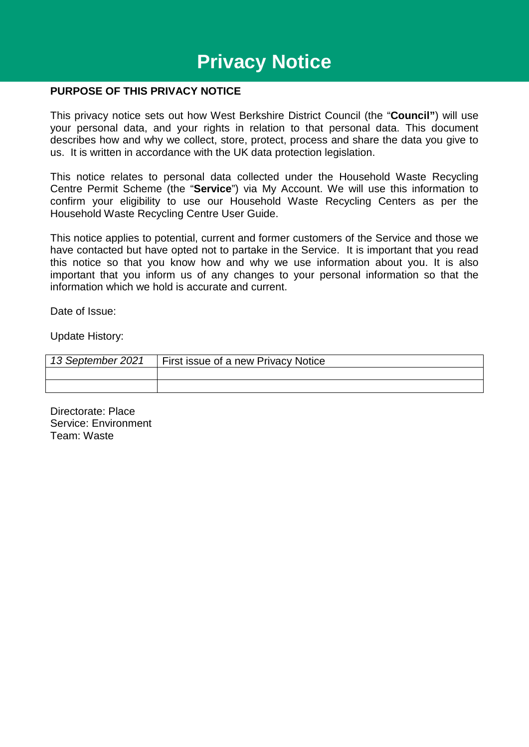# **Privacy Notice**

#### **PURPOSE OF THIS PRIVACY NOTICE**

This privacy notice sets out how West Berkshire District Council (the "**Council"**) will use your personal data, and your rights in relation to that personal data. This document describes how and why we collect, store, protect, process and share the data you give to us. It is written in accordance with the UK data protection legislation.

This notice relates to personal data collected under the Household Waste Recycling Centre Permit Scheme (the "**Service**") via My Account. We will use this information to confirm your eligibility to use our Household Waste Recycling Centers as per the Household Waste Recycling Centre User Guide.

This notice applies to potential, current and former customers of the Service and those we have contacted but have opted not to partake in the Service. It is important that you read this notice so that you know how and why we use information about you. It is also important that you inform us of any changes to your personal information so that the information which we hold is accurate and current.

Date of Issue:

Update History:

| 13 September 2021 | First issue of a new Privacy Notice |  |
|-------------------|-------------------------------------|--|
|                   |                                     |  |
|                   |                                     |  |

Directorate: Place Service: Environment Team: Waste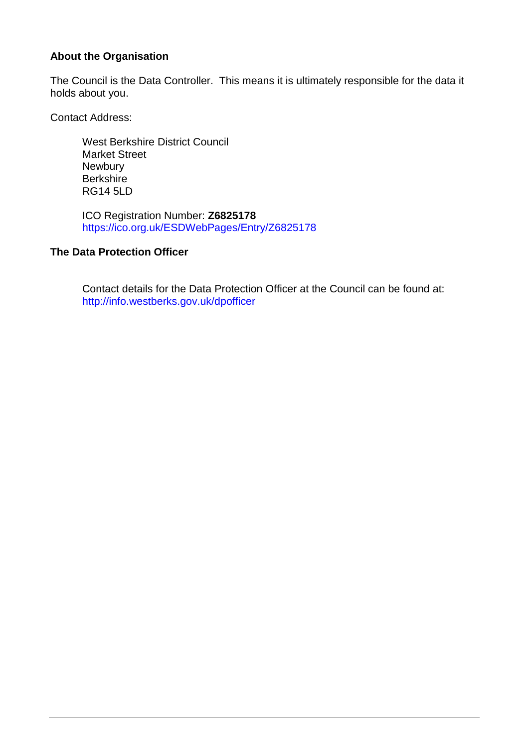## **About the Organisation**

The Council is the Data Controller. This means it is ultimately responsible for the data it holds about you.

Contact Address:

West Berkshire District Council Market Street **Newbury Berkshire** RG14 5LD

ICO Registration Number: **Z6825178**  <https://ico.org.uk/ESDWebPages/Entry/Z6825178>

### **The Data Protection Officer**

Contact details for the Data Protection Officer at the Council can be found at: <http://info.westberks.gov.uk/dpofficer>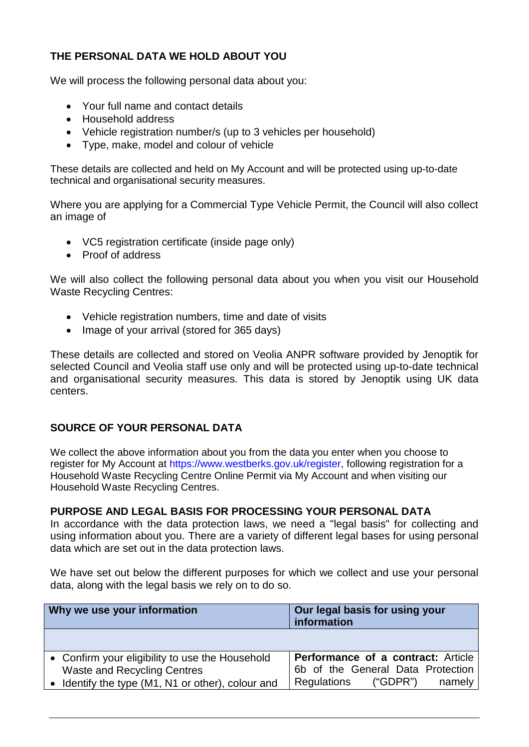## **THE PERSONAL DATA WE HOLD ABOUT YOU**

We will process the following personal data about you:

- Your full name and contact details
- Household address
- Vehicle registration number/s (up to 3 vehicles per household)
- Type, make, model and colour of vehicle

These details are collected and held on My Account and will be protected using up-to-date technical and organisational security measures.

Where you are applying for a Commercial Type Vehicle Permit, the Council will also collect an image of

- VC5 registration certificate (inside page only)
- Proof of address

We will also collect the following personal data about you when you visit our Household Waste Recycling Centres:

- Vehicle registration numbers, time and date of visits
- Image of your arrival (stored for 365 days)

These details are collected and stored on Veolia ANPR software provided by Jenoptik for selected Council and Veolia staff use only and will be protected using up-to-date technical and organisational security measures. This data is stored by Jenoptik using UK data centers.

## **SOURCE OF YOUR PERSONAL DATA**

We collect the above information about you from the data you enter when you choose to register for My Account at [https://www.westberks.gov.uk/register,](https://www.westberks.gov.uk/register) following registration for a Household Waste Recycling Centre Online Permit via My Account and when visiting our Household Waste Recycling Centres.

### **PURPOSE AND LEGAL BASIS FOR PROCESSING YOUR PERSONAL DATA**

In accordance with the data protection laws, we need a "legal basis" for collecting and using information about you. There are a variety of different legal bases for using personal data which are set out in the data protection laws.

We have set out below the different purposes for which we collect and use your personal data, along with the legal basis we rely on to do so.

| Why we use your information                       | Our legal basis for using your<br>information |
|---------------------------------------------------|-----------------------------------------------|
|                                                   |                                               |
| • Confirm your eligibility to use the Household   | <b>Performance of a contract: Article</b>     |
| Waste and Recycling Centres                       | 6b of the General Data Protection             |
| • Identify the type (M1, N1 or other), colour and | ("GDPR")<br>Regulations<br>namely             |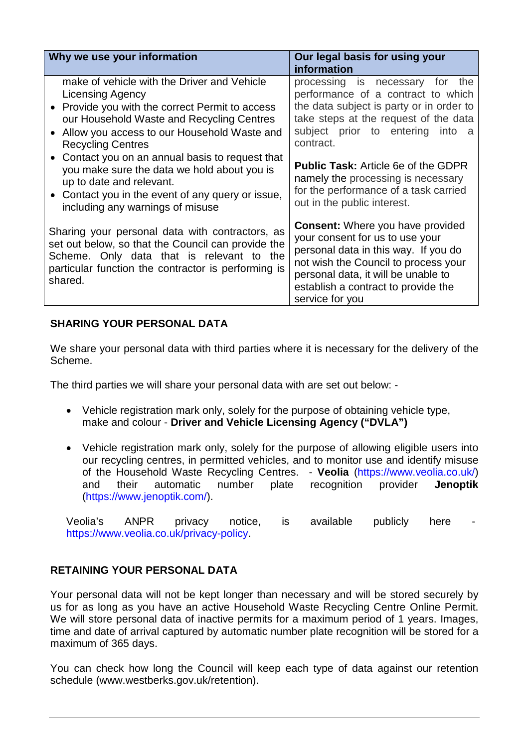| Why we use your information                                                                                                                                                                                                                       | Our legal basis for using your<br>information                                                                                                                                                                                                               |
|---------------------------------------------------------------------------------------------------------------------------------------------------------------------------------------------------------------------------------------------------|-------------------------------------------------------------------------------------------------------------------------------------------------------------------------------------------------------------------------------------------------------------|
| make of vehicle with the Driver and Vehicle<br><b>Licensing Agency</b><br>• Provide you with the correct Permit to access<br>our Household Waste and Recycling Centres<br>Allow you access to our Household Waste and<br><b>Recycling Centres</b> | processing is necessary<br>for<br>the<br>performance of a contract to which<br>the data subject is party or in order to<br>take steps at the request of the data<br>subject prior to entering<br>into a<br>contract.                                        |
| • Contact you on an annual basis to request that<br>you make sure the data we hold about you is<br>up to date and relevant.<br>• Contact you in the event of any query or issue,<br>including any warnings of misuse                              | <b>Public Task: Article 6e of the GDPR</b><br>namely the processing is necessary<br>for the performance of a task carried<br>out in the public interest.                                                                                                    |
| Sharing your personal data with contractors, as<br>set out below, so that the Council can provide the<br>Scheme. Only data that is relevant to the<br>particular function the contractor is performing is<br>shared.                              | <b>Consent:</b> Where you have provided<br>your consent for us to use your<br>personal data in this way. If you do<br>not wish the Council to process your<br>personal data, it will be unable to<br>establish a contract to provide the<br>service for you |

## **SHARING YOUR PERSONAL DATA**

We share your personal data with third parties where it is necessary for the delivery of the Scheme.

The third parties we will share your personal data with are set out below: -

- Vehicle registration mark only, solely for the purpose of obtaining vehicle type, make and colour - **Driver and Vehicle Licensing Agency ("DVLA")**
- Vehicle registration mark only, solely for the purpose of allowing eligible users into our recycling centres, in permitted vehicles, and to monitor use and identify misuse of the Household Waste Recycling Centres. - **Veolia** [\(https://www.veolia.co.uk/\)](https://www.veolia.co.uk/) and their automatic number plate recognition provider **Jenoptik** [\(https://www.jenoptik.com/\)](https://www.jenoptik.com/).

Veolia's ANPR privacy notice, is available publicly here [https://www.veolia.co.uk/privacy-policy.](https://protect-eu.mimecast.com/s/jWsJCjqMJtjXMBRUWVmpV?domain=veolia.co.uk)

## **RETAINING YOUR PERSONAL DATA**

Your personal data will not be kept longer than necessary and will be stored securely by us for as long as you have an active Household Waste Recycling Centre Online Permit. We will store personal data of inactive permits for a maximum period of 1 years. Images, time and date of arrival captured by automatic number plate recognition will be stored for a maximum of 365 days.

You can check how long the Council will keep each type of data against our retention schedule (www.westberks.gov.uk/retention).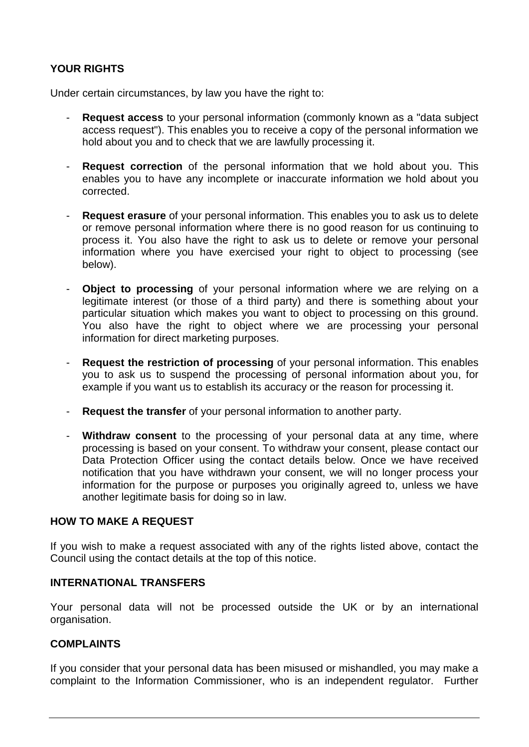## **YOUR RIGHTS**

Under certain circumstances, by law you have the right to:

- **Request access** to your personal information (commonly known as a "data subject" access request"). This enables you to receive a copy of the personal information we hold about you and to check that we are lawfully processing it.
- **Request correction** of the personal information that we hold about you. This enables you to have any incomplete or inaccurate information we hold about you corrected.
- **Request erasure** of your personal information. This enables you to ask us to delete or remove personal information where there is no good reason for us continuing to process it. You also have the right to ask us to delete or remove your personal information where you have exercised your right to object to processing (see below).
- **Object to processing** of your personal information where we are relying on a legitimate interest (or those of a third party) and there is something about your particular situation which makes you want to object to processing on this ground. You also have the right to object where we are processing your personal information for direct marketing purposes.
- **Request the restriction of processing** of your personal information. This enables you to ask us to suspend the processing of personal information about you, for example if you want us to establish its accuracy or the reason for processing it.
- **Request the transfer** of your personal information to another party.
- **Withdraw consent** to the processing of your personal data at any time, where processing is based on your consent. To withdraw your consent, please contact our Data Protection Officer using the contact details below. Once we have received notification that you have withdrawn your consent, we will no longer process your information for the purpose or purposes you originally agreed to, unless we have another legitimate basis for doing so in law.

## **HOW TO MAKE A REQUEST**

If you wish to make a request associated with any of the rights listed above, contact the Council using the contact details at the top of this notice.

### **INTERNATIONAL TRANSFERS**

Your personal data will not be processed outside the UK or by an international organisation.

### **COMPLAINTS**

If you consider that your personal data has been misused or mishandled, you may make a complaint to the Information Commissioner, who is an independent regulator. Further